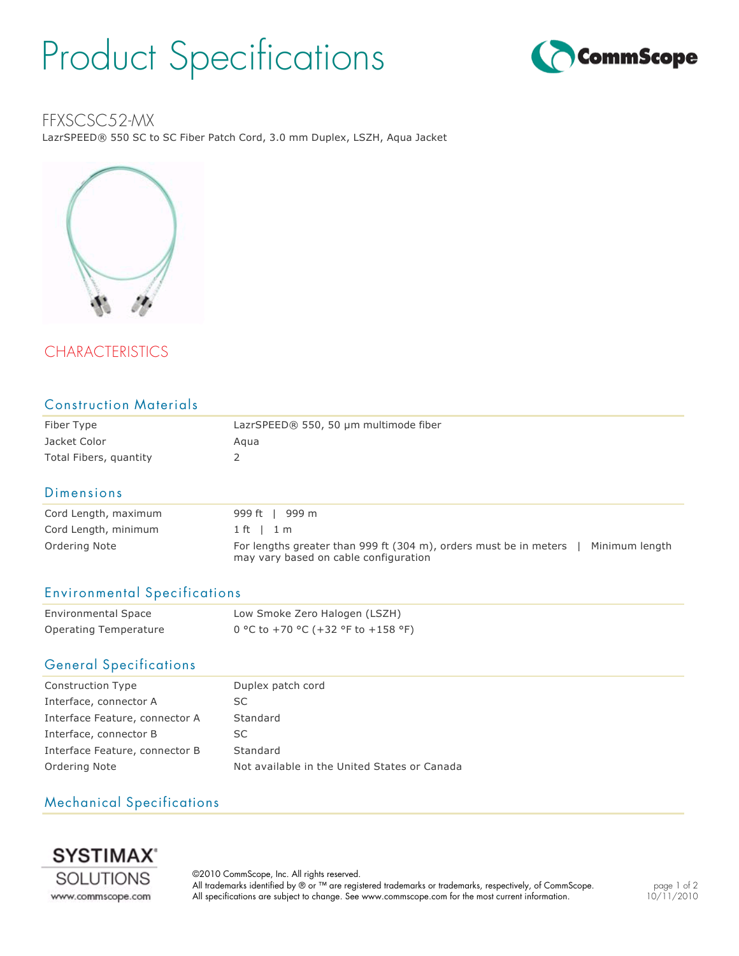# Product Specifications



### FFXSCSC52-MX

LazrSPEED® 550 SC to SC Fiber Patch Cord, 3.0 mm Duplex, LSZH, Aqua Jacket



# **CHARACTERISTICS**

| <b>Construction Materials</b> |                                       |  |
|-------------------------------|---------------------------------------|--|
| Fiber Type                    | LazrSPEED® 550, 50 µm multimode fiber |  |
| Jacket Color                  | Aqua                                  |  |
| Total Fibers, quantity        | 2                                     |  |
| Dimensions                    |                                       |  |
| Cord Length, maximum          | 999 m<br>999 ft                       |  |
| Cord Length, minimum          | 1 ft<br>1 m                           |  |

| Cord Length, minimum | $1$ ft $1$ m                                                                                                                 |
|----------------------|------------------------------------------------------------------------------------------------------------------------------|
| Ordering Note        | Minimum length<br>For lengths greater than 999 ft (304 m), orders must be in meters<br>may vary based on cable configuration |

#### Environmental Specifications

| <b>Environmental Space</b> | Low Smoke Zero Halogen (LSZH)      |
|----------------------------|------------------------------------|
| Operating Temperature      | 0 °C to +70 °C (+32 °F to +158 °F) |

#### General Specifications

| <b>Construction Type</b>       | Duplex patch cord                            |
|--------------------------------|----------------------------------------------|
| Interface, connector A         | SC.                                          |
| Interface Feature, connector A | Standard                                     |
| Interface, connector B         | SC.                                          |
| Interface Feature, connector B | Standard                                     |
| Ordering Note                  | Not available in the United States or Canada |

### Mechanical Specifications



©2010 CommScope, Inc. All rights reserved. All trademarks identified by ® or ™ are registered trademarks or trademarks, respectively, of CommScope. All specifications are subject to change. See www.commscope.com for the most current information.